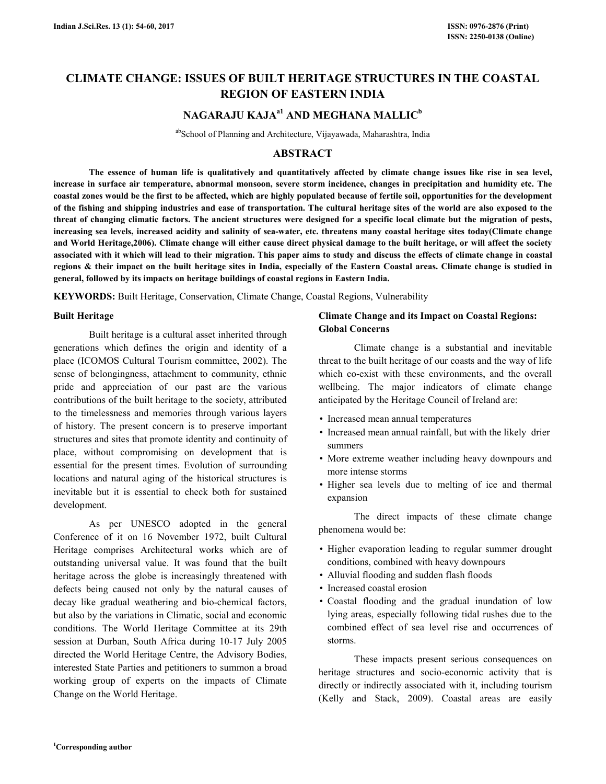# **CLIMATE CHANGE: ISSUES OF BUILT HERITAGE STRUCTURES IN THE COASTAL REGION OF EASTERN INDIA**

## **NAGARAJU KAJAa1 AND MEGHANA MALLIC<sup>b</sup>**

abSchool of Planning and Architecture, Vijayawada, Maharashtra, India

### **ABSTRACT**

 **The essence of human life is qualitatively and quantitatively affected by climate change issues like rise in sea level, increase in surface air temperature, abnormal monsoon, severe storm incidence, changes in precipitation and humidity etc. The coastal zones would be the first to be affected, which are highly populated because of fertile soil, opportunities for the development of the fishing and shipping industries and ease of transportation. The cultural heritage sites of the world are also exposed to the threat of changing climatic factors. The ancient structures were designed for a specific local climate but the migration of pests, increasing sea levels, increased acidity and salinity of sea-water, etc. threatens many coastal heritage sites today(Climate change and World Heritage,2006). Climate change will either cause direct physical damage to the built heritage, or will affect the society associated with it which will lead to their migration. This paper aims to study and discuss the effects of climate change in coastal regions & their impact on the built heritage sites in India, especially of the Eastern Coastal areas. Climate change is studied in general, followed by its impacts on heritage buildings of coastal regions in Eastern India.** 

**KEYWORDS:** Built Heritage, Conservation, Climate Change, Coastal Regions, Vulnerability

#### **Built Heritage**

 Built heritage is a cultural asset inherited through generations which defines the origin and identity of a place (ICOMOS Cultural Tourism committee, 2002). The sense of belongingness, attachment to community, ethnic pride and appreciation of our past are the various contributions of the built heritage to the society, attributed to the timelessness and memories through various layers of history. The present concern is to preserve important structures and sites that promote identity and continuity of place, without compromising on development that is essential for the present times. Evolution of surrounding locations and natural aging of the historical structures is inevitable but it is essential to check both for sustained development.

 As per UNESCO adopted in the general Conference of it on 16 November 1972, built Cultural Heritage comprises Architectural works which are of outstanding universal value. It was found that the built heritage across the globe is increasingly threatened with defects being caused not only by the natural causes of decay like gradual weathering and bio-chemical factors, but also by the variations in Climatic, social and economic conditions. The World Heritage Committee at its 29th session at Durban, South Africa during 10-17 July 2005 directed the World Heritage Centre, the Advisory Bodies, interested State Parties and petitioners to summon a broad working group of experts on the impacts of Climate Change on the World Heritage.

### **Climate Change and its Impact on Coastal Regions: Global Concerns**

 Climate change is a substantial and inevitable threat to the built heritage of our coasts and the way of life which co-exist with these environments, and the overall wellbeing. The major indicators of climate change anticipated by the Heritage Council of Ireland are:

- Increased mean annual temperatures
- Increased mean annual rainfall, but with the likely drier summers
- More extreme weather including heavy downpours and more intense storms
- Higher sea levels due to melting of ice and thermal expansion

 The direct impacts of these climate change phenomena would be:

- Higher evaporation leading to regular summer drought conditions, combined with heavy downpours
- Alluvial flooding and sudden flash floods
- Increased coastal erosion
- Coastal flooding and the gradual inundation of low lying areas, especially following tidal rushes due to the combined effect of sea level rise and occurrences of storms.

 These impacts present serious consequences on heritage structures and socio-economic activity that is directly or indirectly associated with it, including tourism (Kelly and Stack, 2009). Coastal areas are easily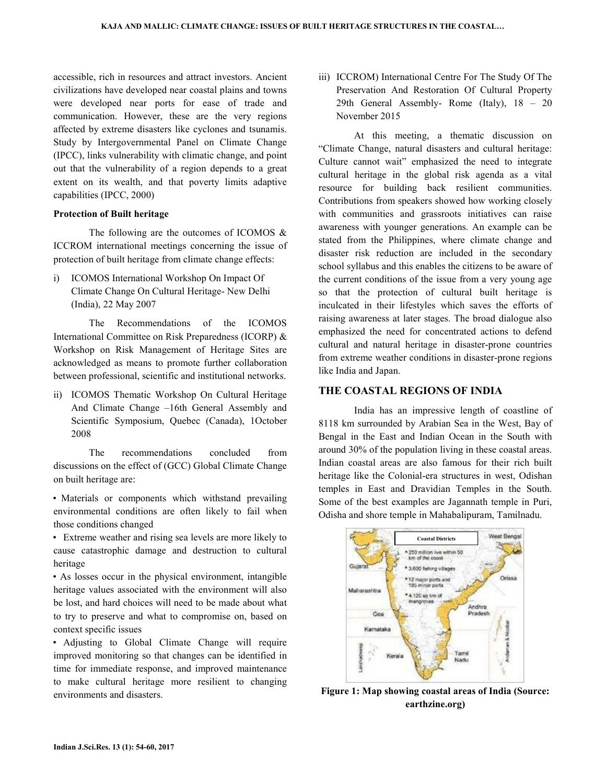accessible, rich in resources and attract investors. Ancient civilizations have developed near coastal plains and towns were developed near ports for ease of trade and communication. However, these are the very regions affected by extreme disasters like cyclones and tsunamis. Study by Intergovernmental Panel on Climate Change (IPCC), links vulnerability with climatic change, and point out that the vulnerability of a region depends to a great extent on its wealth, and that poverty limits adaptive capabilities (IPCC, 2000)

### **Protection of Built heritage**

The following are the outcomes of ICOMOS & ICCROM international meetings concerning the issue of protection of built heritage from climate change effects:

i) ICOMOS International Workshop On Impact Of Climate Change On Cultural Heritage- New Delhi (India), 22 May 2007

 The Recommendations of the ICOMOS International Committee on Risk Preparedness (ICORP) & Workshop on Risk Management of Heritage Sites are acknowledged as means to promote further collaboration between professional, scientific and institutional networks.

ii) ICOMOS Thematic Workshop On Cultural Heritage And Climate Change –16th General Assembly and Scientific Symposium, Quebec (Canada), 1October 2008

 The recommendations concluded from discussions on the effect of (GCC) Global Climate Change on built heritage are:

• Materials or components which withstand prevailing environmental conditions are often likely to fail when those conditions changed

• Extreme weather and rising sea levels are more likely to cause catastrophic damage and destruction to cultural heritage

• As losses occur in the physical environment, intangible heritage values associated with the environment will also be lost, and hard choices will need to be made about what to try to preserve and what to compromise on, based on context specific issues

• Adjusting to Global Climate Change will require improved monitoring so that changes can be identified in time for immediate response, and improved maintenance to make cultural heritage more resilient to changing environments and disasters.

iii) ICCROM) International Centre For The Study Of The Preservation And Restoration Of Cultural Property 29th General Assembly- Rome (Italy), 18 – 20 November 2015

 At this meeting, a thematic discussion on "Climate Change, natural disasters and cultural heritage: Culture cannot wait" emphasized the need to integrate cultural heritage in the global risk agenda as a vital resource for building back resilient communities. Contributions from speakers showed how working closely with communities and grassroots initiatives can raise awareness with younger generations. An example can be stated from the Philippines, where climate change and disaster risk reduction are included in the secondary school syllabus and this enables the citizens to be aware of the current conditions of the issue from a very young age so that the protection of cultural built heritage is inculcated in their lifestyles which saves the efforts of raising awareness at later stages. The broad dialogue also emphasized the need for concentrated actions to defend cultural and natural heritage in disaster-prone countries from extreme weather conditions in disaster-prone regions like India and Japan.

### **THE COASTAL REGIONS OF INDIA**

 India has an impressive length of coastline of 8118 km surrounded by Arabian Sea in the West, Bay of Bengal in the East and Indian Ocean in the South with around 30% of the population living in these coastal areas. Indian coastal areas are also famous for their rich built heritage like the Colonial-era structures in west, Odishan temples in East and Dravidian Temples in the South. Some of the best examples are Jagannath temple in Puri, Odisha and shore temple in Mahabalipuram, Tamilnadu.



**Figure 1: Map showing coastal areas of India (Source: earthzine.org)**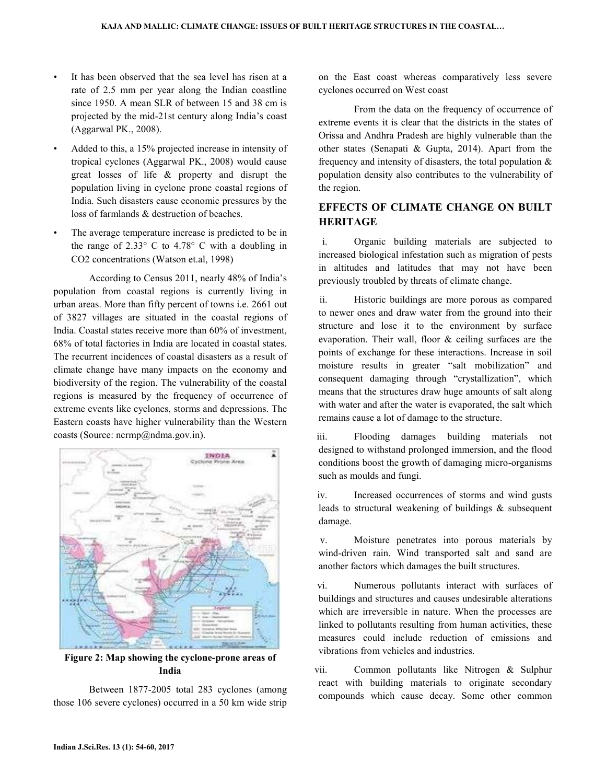- It has been observed that the sea level has risen at a rate of 2.5 mm per year along the Indian coastline since 1950. A mean SLR of between 15 and 38 cm is projected by the mid-21st century along India's coast (Aggarwal PK., 2008).
- Added to this, a 15% projected increase in intensity of tropical cyclones (Aggarwal PK., 2008) would cause great losses of life & property and disrupt the population living in cyclone prone coastal regions of India. Such disasters cause economic pressures by the loss of farmlands & destruction of beaches.
- The average temperature increase is predicted to be in the range of  $2.33^{\circ}$  C to  $4.78^{\circ}$  C with a doubling in CO2 concentrations (Watson et.al, 1998)

 According to Census 2011, nearly 48% of India's population from coastal regions is currently living in urban areas. More than fifty percent of towns i.e. 2661 out of 3827 villages are situated in the coastal regions of India. Coastal states receive more than 60% of investment, 68% of total factories in India are located in coastal states. The recurrent incidences of coastal disasters as a result of climate change have many impacts on the economy and biodiversity of the region. The vulnerability of the coastal regions is measured by the frequency of occurrence of extreme events like cyclones, storms and depressions. The Eastern coasts have higher vulnerability than the Western coasts (Source: ncrmp@ndma.gov.in).



**Figure 2: Map showing the cyclone-prone areas of India** 

 Between 1877-2005 total 283 cyclones (among those 106 severe cyclones) occurred in a 50 km wide strip on the East coast whereas comparatively less severe cyclones occurred on West coast

 From the data on the frequency of occurrence of extreme events it is clear that the districts in the states of Orissa and Andhra Pradesh are highly vulnerable than the other states (Senapati & Gupta, 2014). Apart from the frequency and intensity of disasters, the total population  $\&$ population density also contributes to the vulnerability of the region.

### **EFFECTS OF CLIMATE CHANGE ON BUILT HERITAGE**

i. Organic building materials are subjected to increased biological infestation such as migration of pests in altitudes and latitudes that may not have been previously troubled by threats of climate change.

ii. Historic buildings are more porous as compared to newer ones and draw water from the ground into their structure and lose it to the environment by surface evaporation. Their wall, floor & ceiling surfaces are the points of exchange for these interactions. Increase in soil moisture results in greater "salt mobilization" and consequent damaging through "crystallization", which means that the structures draw huge amounts of salt along with water and after the water is evaporated, the salt which remains cause a lot of damage to the structure.

iii. Flooding damages building materials not designed to withstand prolonged immersion, and the flood conditions boost the growth of damaging micro-organisms such as moulds and fungi.

iv. Increased occurrences of storms and wind gusts leads to structural weakening of buildings & subsequent damage.

v. Moisture penetrates into porous materials by wind-driven rain. Wind transported salt and sand are another factors which damages the built structures.

vi. Numerous pollutants interact with surfaces of buildings and structures and causes undesirable alterations which are irreversible in nature. When the processes are linked to pollutants resulting from human activities, these measures could include reduction of emissions and vibrations from vehicles and industries.

vii. Common pollutants like Nitrogen & Sulphur react with building materials to originate secondary compounds which cause decay. Some other common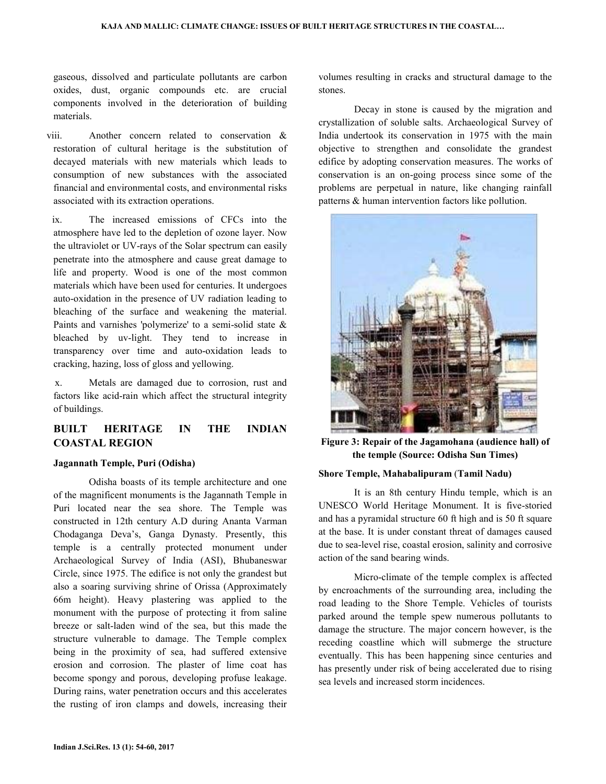gaseous, dissolved and particulate pollutants are carbon oxides, dust, organic compounds etc. are crucial components involved in the deterioration of building materials.

viii. Another concern related to conservation & restoration of cultural heritage is the substitution of decayed materials with new materials which leads to consumption of new substances with the associated financial and environmental costs, and environmental risks associated with its extraction operations.

ix. The increased emissions of CFCs into the atmosphere have led to the depletion of ozone layer. Now the ultraviolet or UV-rays of the Solar spectrum can easily penetrate into the atmosphere and cause great damage to life and property. Wood is one of the most common materials which have been used for centuries. It undergoes auto-oxidation in the presence of UV radiation leading to bleaching of the surface and weakening the material. Paints and varnishes 'polymerize' to a semi-solid state & bleached by uv-light. They tend to increase in transparency over time and auto-oxidation leads to cracking, hazing, loss of gloss and yellowing.

x. Metals are damaged due to corrosion, rust and factors like acid-rain which affect the structural integrity of buildings.

## **BUILT HERITAGE IN THE INDIAN COASTAL REGION**

### **Jagannath Temple, Puri (Odisha)**

 Odisha boasts of its temple architecture and one of the magnificent monuments is the Jagannath Temple in Puri located near the sea shore. The Temple was constructed in 12th century A.D during Ananta Varman Chodaganga Deva's, Ganga Dynasty. Presently, this temple is a centrally protected monument under Archaeological Survey of India (ASI), Bhubaneswar Circle, since 1975. The edifice is not only the grandest but also a soaring surviving shrine of Orissa (Approximately 66m height). Heavy plastering was applied to the monument with the purpose of protecting it from saline breeze or salt-laden wind of the sea, but this made the structure vulnerable to damage. The Temple complex being in the proximity of sea, had suffered extensive erosion and corrosion. The plaster of lime coat has become spongy and porous, developing profuse leakage. During rains, water penetration occurs and this accelerates the rusting of iron clamps and dowels, increasing their volumes resulting in cracks and structural damage to the stones.

 Decay in stone is caused by the migration and crystallization of soluble salts. Archaeological Survey of India undertook its conservation in 1975 with the main objective to strengthen and consolidate the grandest edifice by adopting conservation measures. The works of conservation is an on-going process since some of the problems are perpetual in nature, like changing rainfall patterns & human intervention factors like pollution.



**Figure 3: Repair of the Jagamohana (audience hall) of the temple (Source: Odisha Sun Times)** 

### **Shore Temple, Mahabalipuram** (**Tamil Nadu)**

 It is an 8th century Hindu temple, which is an UNESCO World Heritage Monument. It is five-storied and has a pyramidal structure 60 ft high and is 50 ft square at the base. It is under constant threat of damages caused due to sea-level rise, coastal erosion, salinity and corrosive action of the sand bearing winds.

 Micro-climate of the temple complex is affected by encroachments of the surrounding area, including the road leading to the Shore Temple. Vehicles of tourists parked around the temple spew numerous pollutants to damage the structure. The major concern however, is the receding coastline which will submerge the structure eventually. This has been happening since centuries and has presently under risk of being accelerated due to rising sea levels and increased storm incidences.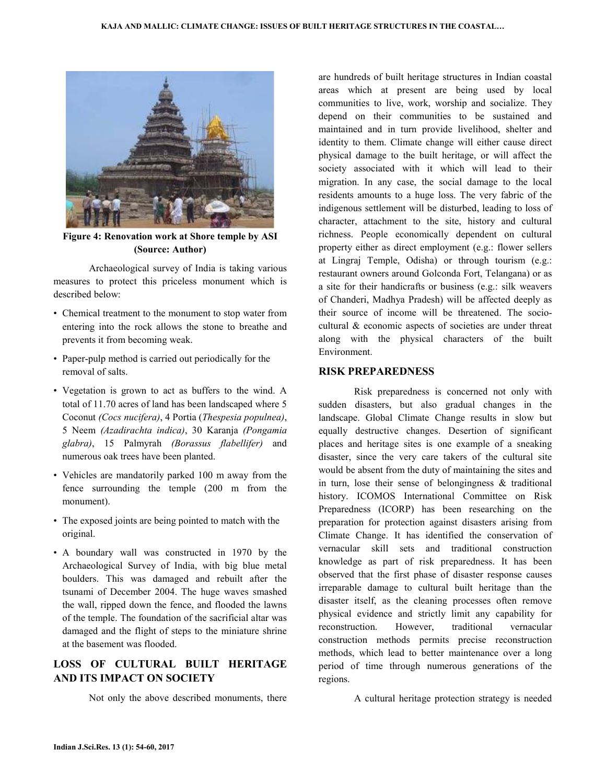

**Figure 4: Renovation work at Shore temple by ASI (Source: Author)** 

 Archaeological survey of India is taking various measures to protect this priceless monument which is described below:

- Chemical treatment to the monument to stop water from entering into the rock allows the stone to breathe and prevents it from becoming weak.
- Paper-pulp method is carried out periodically for the removal of salts.
- Vegetation is grown to act as buffers to the wind. A total of 11.70 acres of land has been landscaped where 5 Coconut *(Cocs nucifera)*, 4 Portia (*Thespesia populnea)*, 5 Neem *(Azadirachta indica)*, 30 Karanja *(Pongamia glabra)*, 15 Palmyrah *(Borassus flabellifer)* and numerous oak trees have been planted.
- Vehicles are mandatorily parked 100 m away from the fence surrounding the temple (200 m from the monument).
- The exposed joints are being pointed to match with the original.
- A boundary wall was constructed in 1970 by the Archaeological Survey of India, with big blue metal boulders. This was damaged and rebuilt after the tsunami of December 2004. The huge waves smashed the wall, ripped down the fence, and flooded the lawns of the temple. The foundation of the sacrificial altar was damaged and the flight of steps to the miniature shrine at the basement was flooded.

## **LOSS OF CULTURAL BUILT HERITAGE AND ITS IMPACT ON SOCIETY**

Not only the above described monuments, there

are hundreds of built heritage structures in Indian coastal areas which at present are being used by local communities to live, work, worship and socialize. They depend on their communities to be sustained and maintained and in turn provide livelihood, shelter and identity to them. Climate change will either cause direct physical damage to the built heritage, or will affect the society associated with it which will lead to their migration. In any case, the social damage to the local residents amounts to a huge loss. The very fabric of the indigenous settlement will be disturbed, leading to loss of character, attachment to the site, history and cultural richness. People economically dependent on cultural property either as direct employment (e.g.: flower sellers at Lingraj Temple, Odisha) or through tourism (e.g.: restaurant owners around Golconda Fort, Telangana) or as a site for their handicrafts or business (e.g.: silk weavers of Chanderi, Madhya Pradesh) will be affected deeply as their source of income will be threatened. The sociocultural & economic aspects of societies are under threat along with the physical characters of the built Environment.

### **RISK PREPAREDNESS**

 Risk preparedness is concerned not only with sudden disasters, but also gradual changes in the landscape. Global Climate Change results in slow but equally destructive changes. Desertion of significant places and heritage sites is one example of a sneaking disaster, since the very care takers of the cultural site would be absent from the duty of maintaining the sites and in turn, lose their sense of belongingness  $\&$  traditional history. ICOMOS International Committee on Risk Preparedness (ICORP) has been researching on the preparation for protection against disasters arising from Climate Change. It has identified the conservation of vernacular skill sets and traditional construction knowledge as part of risk preparedness. It has been observed that the first phase of disaster response causes irreparable damage to cultural built heritage than the disaster itself, as the cleaning processes often remove physical evidence and strictly limit any capability for reconstruction. However, traditional vernacular construction methods permits precise reconstruction methods, which lead to better maintenance over a long period of time through numerous generations of the regions.

A cultural heritage protection strategy is needed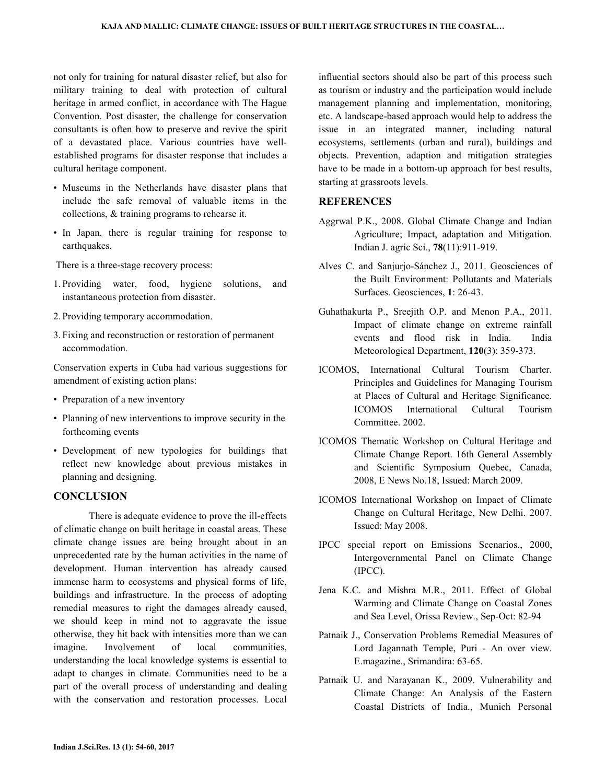not only for training for natural disaster relief, but also for military training to deal with protection of cultural heritage in armed conflict, in accordance with The Hague Convention. Post disaster, the challenge for conservation consultants is often how to preserve and revive the spirit of a devastated place. Various countries have wellestablished programs for disaster response that includes a cultural heritage component.

- Museums in the Netherlands have disaster plans that include the safe removal of valuable items in the collections, & training programs to rehearse it.
- In Japan, there is regular training for response to earthquakes.

There is a three-stage recovery process:

- 1. Providing water, food, hygiene solutions, and instantaneous protection from disaster.
- 2. Providing temporary accommodation.
- 3. Fixing and reconstruction or restoration of permanent accommodation.

Conservation experts in Cuba had various suggestions for amendment of existing action plans:

- Preparation of a new inventory
- Planning of new interventions to improve security in the forthcoming events
- Development of new typologies for buildings that reflect new knowledge about previous mistakes in planning and designing.

#### **CONCLUSION**

 There is adequate evidence to prove the ill-effects of climatic change on built heritage in coastal areas. These climate change issues are being brought about in an unprecedented rate by the human activities in the name of development. Human intervention has already caused immense harm to ecosystems and physical forms of life, buildings and infrastructure. In the process of adopting remedial measures to right the damages already caused, we should keep in mind not to aggravate the issue otherwise, they hit back with intensities more than we can imagine. Involvement of local communities, understanding the local knowledge systems is essential to adapt to changes in climate. Communities need to be a part of the overall process of understanding and dealing with the conservation and restoration processes. Local

influential sectors should also be part of this process such as tourism or industry and the participation would include management planning and implementation, monitoring, etc. A landscape-based approach would help to address the issue in an integrated manner, including natural ecosystems, settlements (urban and rural), buildings and objects. Prevention, adaption and mitigation strategies have to be made in a bottom-up approach for best results, starting at grassroots levels.

### **REFERENCES**

- Aggrwal P.K., 2008. Global Climate Change and Indian Agriculture; Impact, adaptation and Mitigation. Indian J. agric Sci., **78**(11):911-919.
- Alves C. and Sanjurjo-Sánchez J., 2011. Geosciences of the Built Environment: Pollutants and Materials Surfaces. Geosciences, **1**: 26-43.
- Guhathakurta P., Sreejith O.P. and Menon P.A., 2011. Impact of climate change on extreme rainfall events and flood risk in India. India Meteorological Department, **120**(3): 359-373.
- ICOMOS, International Cultural Tourism Charter. Principles and Guidelines for Managing Tourism at Places of Cultural and Heritage Significance*.*  ICOMOS International Cultural Tourism Committee. 2002.
- ICOMOS Thematic Workshop on Cultural Heritage and Climate Change Report. 16th General Assembly and Scientific Symposium Quebec, Canada, 2008, E News No.18, Issued: March 2009.
- ICOMOS International Workshop on Impact of Climate Change on Cultural Heritage, New Delhi. 2007. Issued: May 2008.
- IPCC special report on Emissions Scenarios., 2000, Intergovernmental Panel on Climate Change (IPCC).
- Jena K.C. and Mishra M.R., 2011. Effect of Global Warming and Climate Change on Coastal Zones and Sea Level, Orissa Review., Sep-Oct: 82-94
- Patnaik J., Conservation Problems Remedial Measures of Lord Jagannath Temple, Puri - An over view. E.magazine., Srimandira: 63-65.
- Patnaik U. and Narayanan K., 2009. Vulnerability and Climate Change: An Analysis of the Eastern Coastal Districts of India., Munich Personal